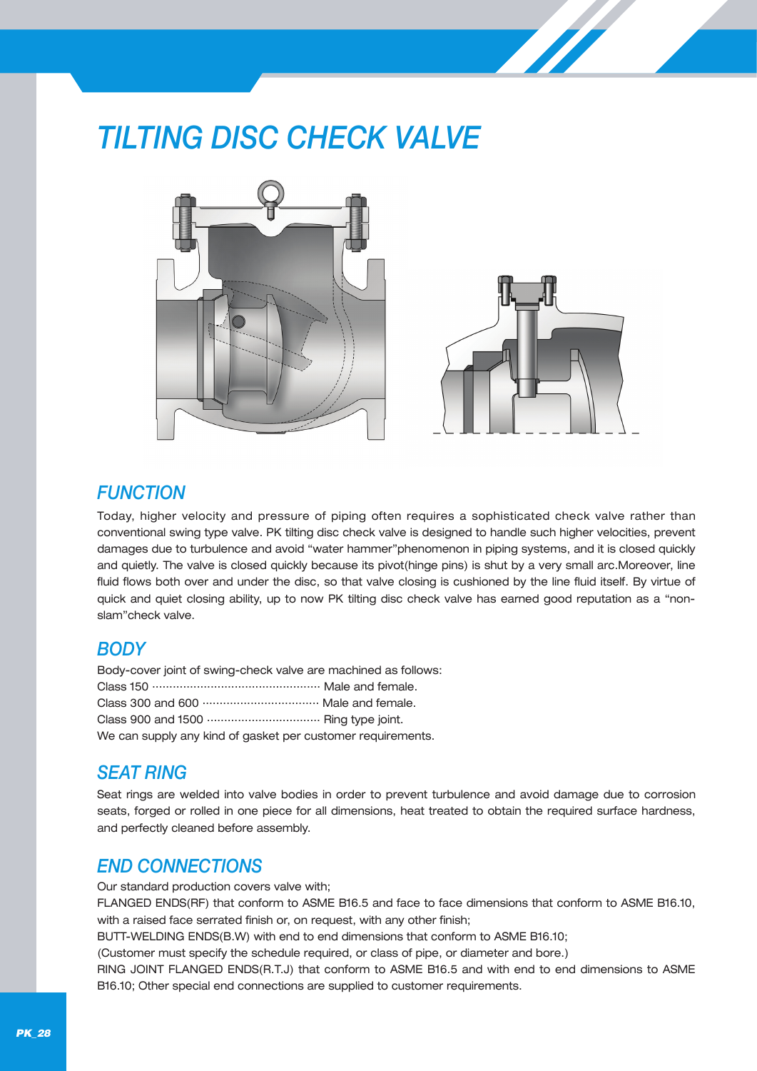# *TILTING DISC CHECK VALVE*





### *FUNCTION*

Today, higher velocity and pressure of piping often requires a sophisticated check valve rather than conventional swing type valve. PK tilting disc check valve is designed to handle such higher velocities, prevent damages due to turbulence and avoid "water hammer"phenomenon in piping systems, and it is closed quickly and quietly. The valve is closed quickly because its pivot(hinge pins) is shut by a very small arc.Moreover, line fluid flows both over and under the disc, so that valve closing is cushioned by the line fluid itself. By virtue of quick and quiet closing ability, up to now PK tilting disc check valve has earned good reputation as a "nonslam"check valve.

### *BODY*

Body-cover joint of swing-check valve are machined as follows: Class 150 ................................................. Male and female. Class 300 and 600 .................................. Male and female. Class 900 and 1500 ................................. Ring type joint. We can supply any kind of gasket per customer requirements.

### *SEAT RING*

Seat rings are welded into valve bodies in order to prevent turbulence and avoid damage due to corrosion seats, forged or rolled in one piece for all dimensions, heat treated to obtain the required surface hardness, and perfectly cleaned before assembly.

### *END CONNECTIONS*

Our standard production covers valve with;

FLANGED ENDS(RF) that conform to ASME B16.5 and face to face dimensions that conform to ASME B16.10, with a raised face serrated finish or, on request, with any other finish;

BUTT-WELDING ENDS(B.W) with end to end dimensions that conform to ASME B16.10;

(Customer must specify the schedule required, or class of pipe, or diameter and bore.)

RING JOINT FLANGED ENDS(R.T.J) that conform to ASME B16.5 and with end to end dimensions to ASME B16.10; Other special end connections are supplied to customer requirements.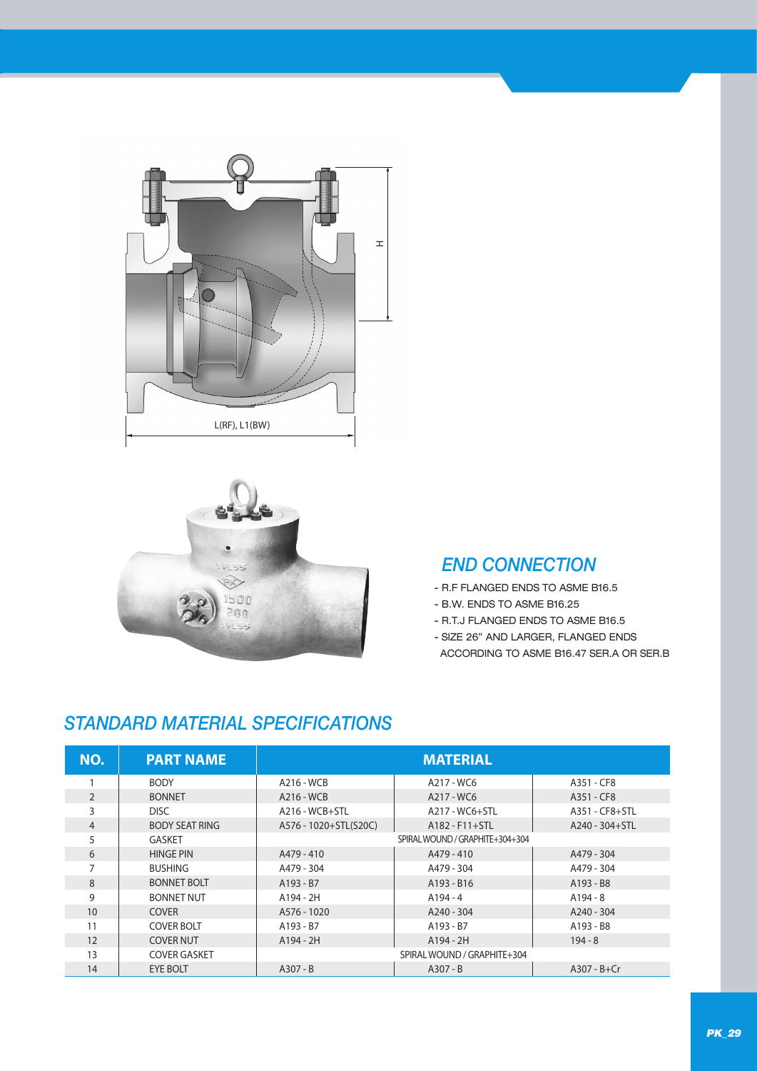



### *END CONNECTION*

- R.F FLANGED ENDS TO ASME B16.5
- B.W. ENDS TO ASME B16.25
- R.T.J FLANGED ENDS TO ASME B16.5
- SIZE 26" AND LARGER, FLANGED ENDS ACCORDING TO ASME B16.47 SER.A OR SER.B

## *STANDARD MATERIAL SPECIFICATIONS*

| NO.            | <b>PART NAME</b>      | <b>MATERIAL</b>       |                                 |                 |  |  |  |  |  |
|----------------|-----------------------|-----------------------|---------------------------------|-----------------|--|--|--|--|--|
|                | <b>BODY</b>           | A216 - WCB            | A217 - WC6                      | A351 - CF8      |  |  |  |  |  |
| $\overline{2}$ | <b>BONNET</b>         | A216 - WCB            | A217 - WC6                      | A351 - CF8      |  |  |  |  |  |
| 3              | DISC.                 | $A216 - WCB + STL$    | A217 - WC6+STL                  | A351 - CF8+STL  |  |  |  |  |  |
| 4              | <b>BODY SEAT RING</b> | A576 - 1020+STL(S20C) | A182 - F11+STL                  | A240 - 304+STL  |  |  |  |  |  |
| 5              | <b>GASKET</b>         |                       | SPIRAL WOUND / GRAPHITE+304+304 |                 |  |  |  |  |  |
| 6              | <b>HINGE PIN</b>      | A479 - 410            | A479 - 410                      | A479 - 304      |  |  |  |  |  |
| 7              | <b>BUSHING</b>        | A479 - 304            | A479 - 304                      | A479 - 304      |  |  |  |  |  |
| 8              | <b>BONNET BOLT</b>    | A193 - B7             | A193 - B16                      | A193 - B8       |  |  |  |  |  |
| 9              | <b>BONNET NUT</b>     | A194 - 2H             | $A194 - 4$                      | $A194 - 8$      |  |  |  |  |  |
| 10             | <b>COVER</b>          | A576 - 1020           | $A240 - 304$                    | A240 - 304      |  |  |  |  |  |
| 11             | <b>COVER BOLT</b>     | A193 - B7             | A193 - B7                       | A193 - B8       |  |  |  |  |  |
| 12             | <b>COVER NUT</b>      | $A194 - 2H$           | A194 - 2H                       | $194 - 8$       |  |  |  |  |  |
| 13             | <b>COVER GASKET</b>   |                       | SPIRAL WOUND / GRAPHITE+304     |                 |  |  |  |  |  |
| 14             | <b>EYE BOLT</b>       | $A307 - B$            | $A307 - B$                      | $A307 - B + Cr$ |  |  |  |  |  |